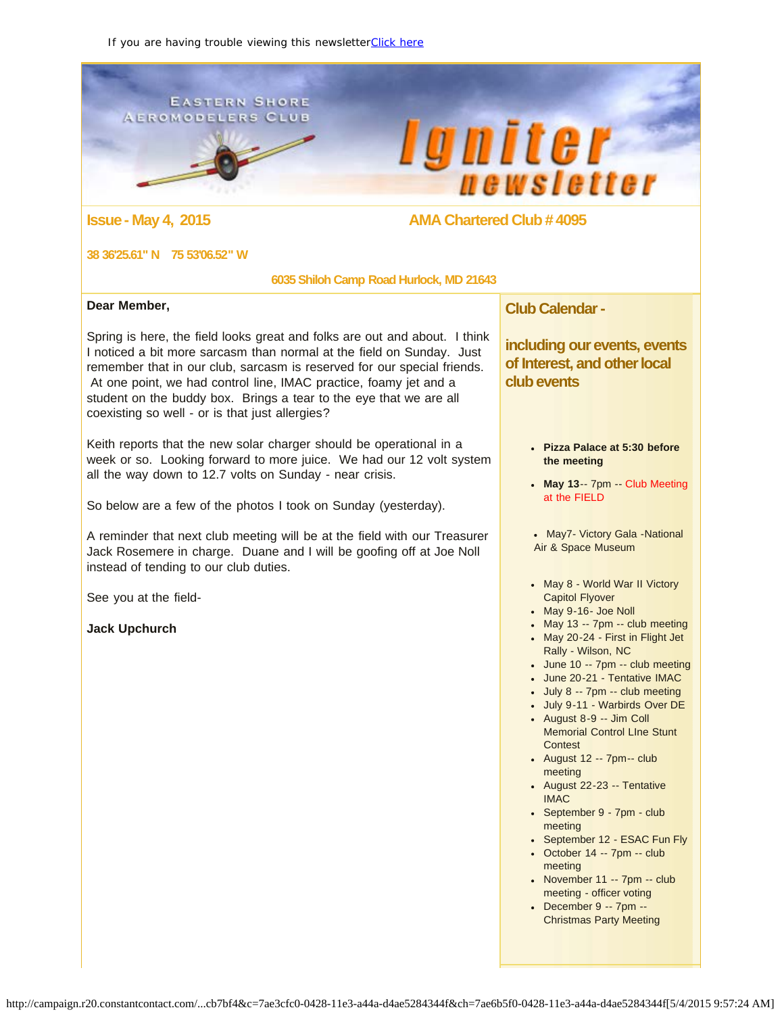<span id="page-0-0"></span>**EASTERN SHORE AEROMODELERS CLUB** 

e p

# **lgniter** newsletter

# **Issue - May 4, 2015 AMA Chartered Club # 4095**

#### **38 36'25.61" N 75 53'06.52" W**

#### **6035 Shiloh Camp Road Hurlock, MD 21643**

#### **Dear Member,**

Spring is here, the field looks great and folks are out and about. I think I noticed a bit more sarcasm than normal at the field on Sunday. Just remember that in our club, sarcasm is reserved for our special friends. At one point, we had control line, IMAC practice, foamy jet and a student on the buddy box. Brings a tear to the eye that we are all coexisting so well - or is that just allergies?

Keith reports that the new solar charger should be operational in a week or so. Looking forward to more juice. We had our 12 volt system all the way down to 12.7 volts on Sunday - near crisis.

So below are a few of the photos I took on Sunday (yesterday).

A reminder that next club meeting will be at the field with our Treasurer Jack Rosemere in charge. Duane and I will be goofing off at Joe Noll instead of tending to our club duties.

See you at the field-

**Jack Upchurch**

**Club Calendar -**

**including our events, events of Interest, and other local club events**

- **Pizza Palace at 5:30 before the meeting**
- **May 13**-- 7pm -- Club Meeting at the FIELD
- May7- Victory Gala -National Air & Space Museum
- May 8 World War II Victory Capitol Flyover
- May 9-16- Joe Noll
- $-May 13 7pm club meeting$
- May 20-24 First in Flight Jet Rally - Wilson, NC
- June 10 -- 7pm -- club meeting
- June 20-21 Tentative IMAC
- July 8 -- 7pm -- club meeting
- July 9-11 Warbirds Over DE
- August 8-9 -- Jim Coll Memorial Control LIne Stunt **Contest**
- August 12 -- 7pm-- club meeting
- August 22-23 -- Tentative IMAC
- September 9 7pm club meeting
- September 12 ESAC Fun Fly
- $\bullet$  October 14 -- 7pm -- club meeting
- $\bullet$  November 11 -- 7pm -- club meeting - officer voting
- December 9 -- 7pm -- Christmas Party Meeting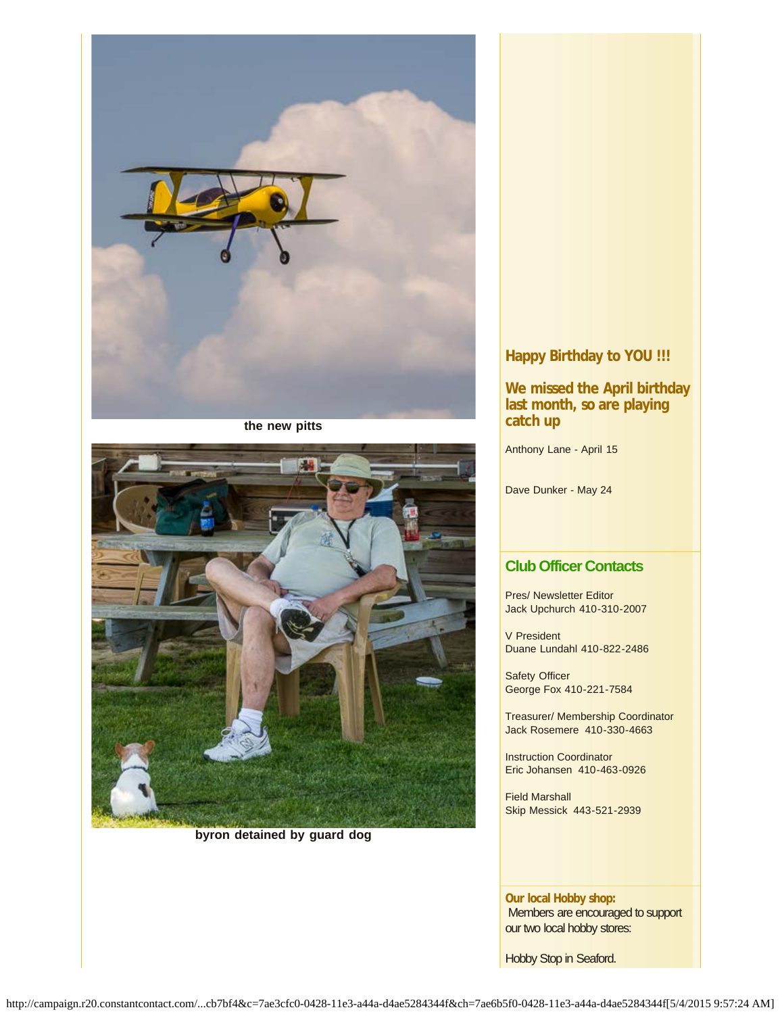

**the new pitts**



**byron detained by guard dog**

# **Happy Birthday to YOU !!!**

#### **We missed the April birthday last month, so are playing catch up**

Anthony Lane - April 15

Dave Dunker - May 24

### **Club Officer Contacts**

Pres/ Newsletter Editor Jack Upchurch 410-310-2007

V President Duane Lundahl 410-822-2486

Safety Officer George Fox 410-221-7584

Treasurer/ Membership Coordinator Jack Rosemere 410-330-4663

Instruction Coordinator Eric Johansen 410-463-0926

Field Marshall Skip Messick 443-521-2939

**Our local Hobby shop:** Members are encouraged to support our two local hobby stores:

Hobby Stop in Seaford.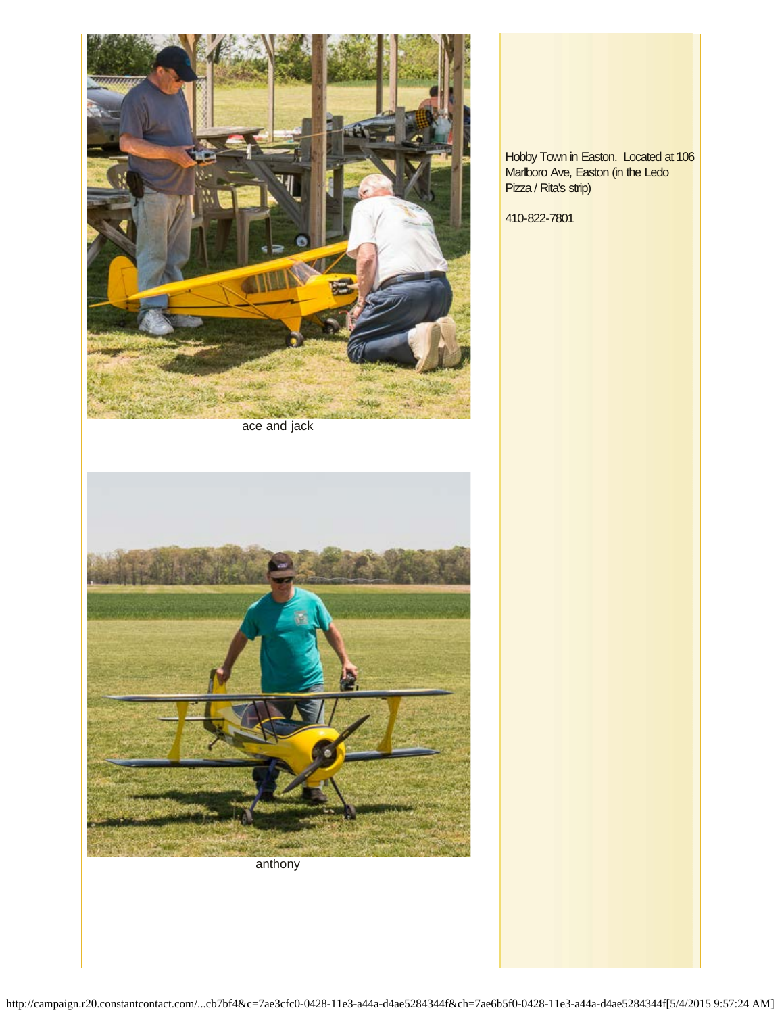

ace and jack



anthony

Hobby Town in Easton. Located at 106 Marlboro Ave, Easton (in the Ledo Pizza / Rita's strip)

410-822-7801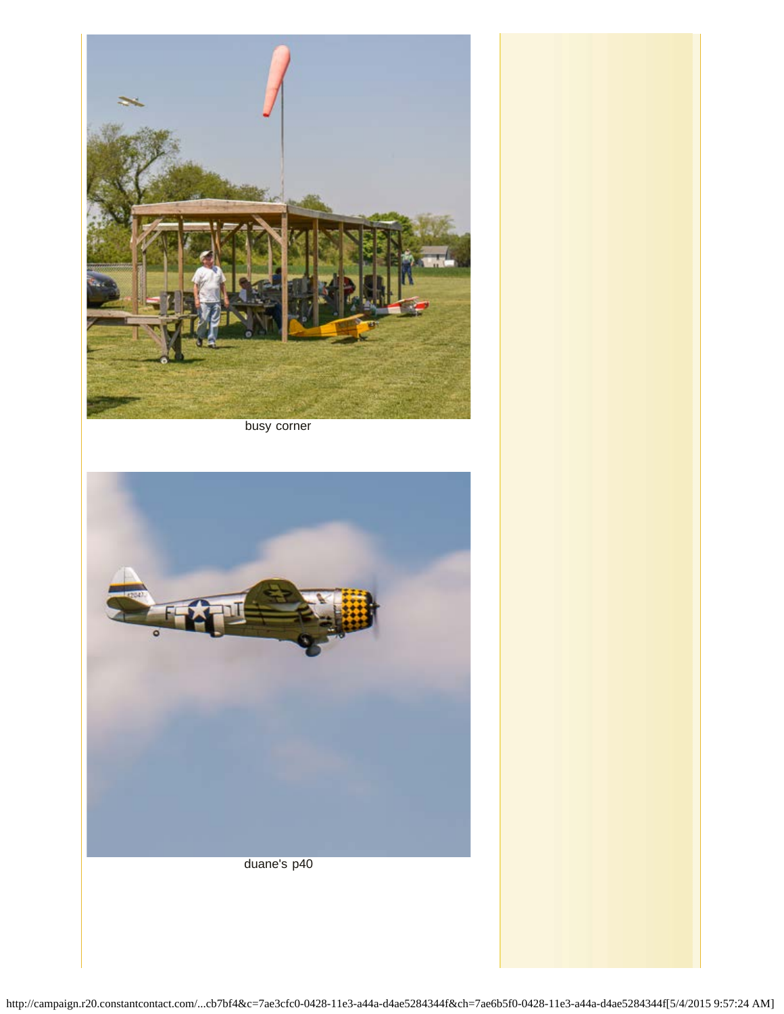

busy corner

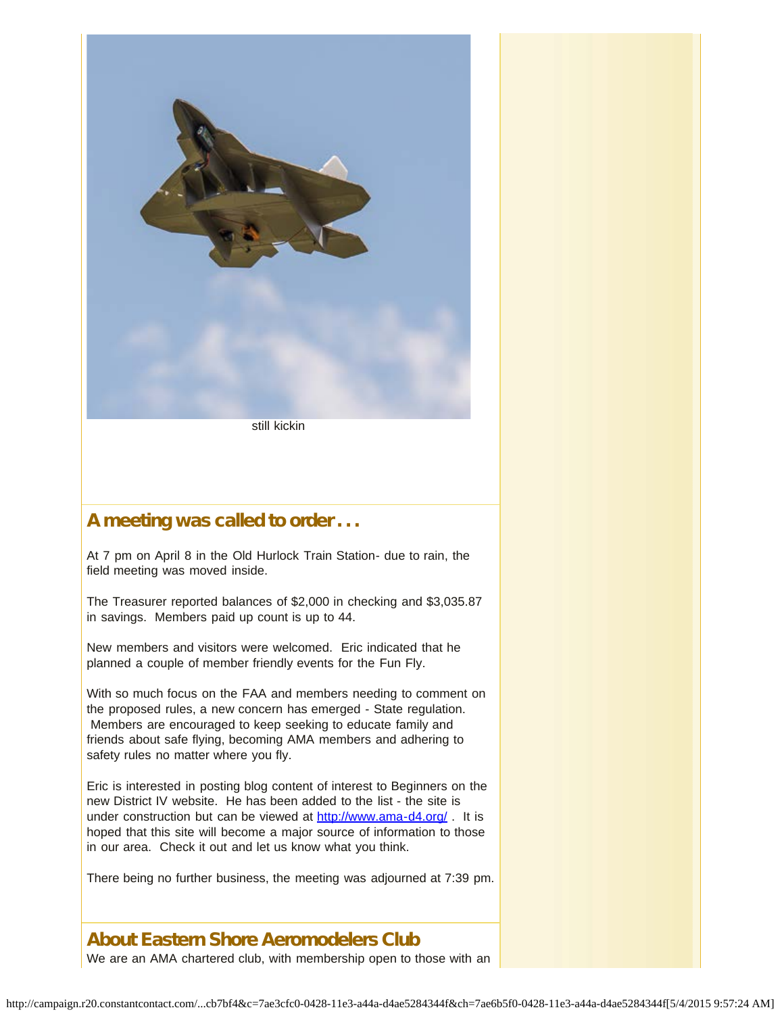

still kickin

# A meeting was called to order . . .

At 7 pm on April 8 in the Old Hurlock Train Station- due to rain, the field meeting was moved inside.

The Treasurer reported balances of \$2,000 in checking and \$3,035.87 in savings. Members paid up count is up to 44.

New members and visitors were welcomed. Eric indicated that he planned a couple of member friendly events for the Fun Fly.

With so much focus on the FAA and members needing to comment on the proposed rules, a new concern has emerged - State regulation. Members are encouraged to keep seeking to educate family and friends about safe flying, becoming AMA members and adhering to safety rules no matter where you fly.

Eric is interested in posting blog content of interest to Beginners on the new District IV website. He has been added to the list - the site is under construction but can be viewed at [http://www.ama-d4.org/](http://r20.rs6.net/tn.jsp?f=001eo0_8kL4GE_575Y1dkTF9nWk5djMiGLTXKTUGpOiOyQWmWMHQsmHvx-g7s3wcAvJ_pGcZgI7rmtM0dwRamKzCIV8YwqkOeUQVs0RsKtI-w17nfsvE6NiYFP1xXP5R6Unu4Oi2KqVtxD8vPIWoEM0QwvP9YsGx1b_v4XqmgkQvlc=&c=&ch=). It is hoped that this site will become a major source of information to those in our area. Check it out and let us know what you think.

There being no further business, the meeting was adjourned at 7:39 pm.

# About Eastern Shore Aeromodelers Club

We are an AMA chartered club, with membership open to those with an